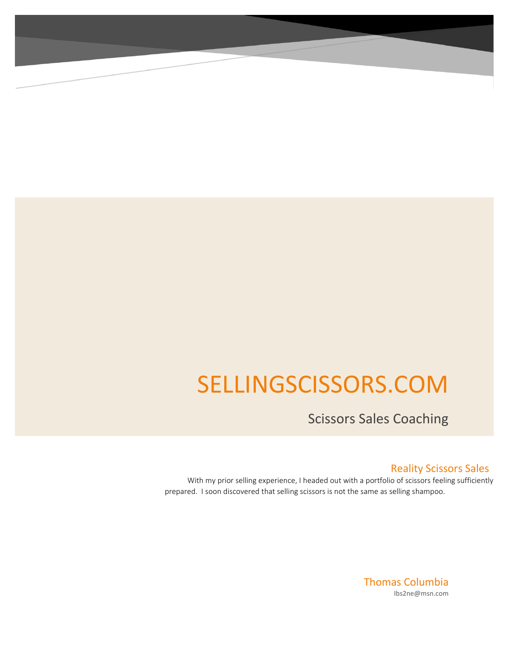# SELLINGSCISSORS.COM

Scissors Sales Coaching

## Reality Scissors Sales

 With my prior selling experience, I headed out with a portfolio of scissors feeling sufficiently prepared. I soon discovered that selling scissors is not the same as selling shampoo.

> Thomas Columbia Ibs2ne@msn.com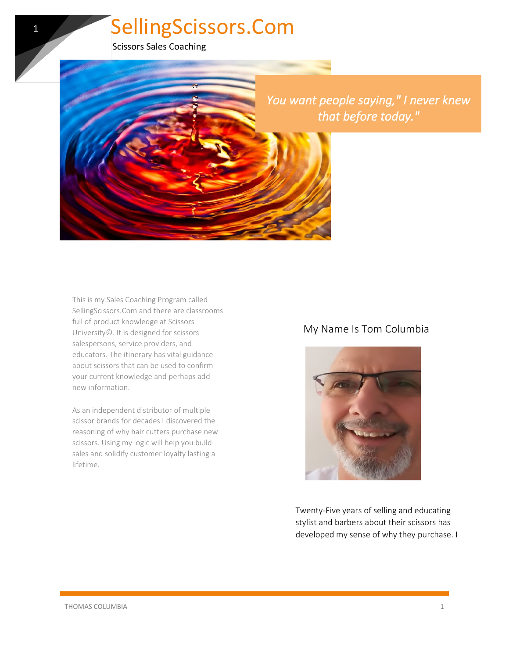Scissors Sales Coaching

1



This is my Sales Coaching Program called SellingScissors.Com and there are classrooms full of product knowledge at Scissors University©. It is designed for scissors salespersons, service providers, and educators. The itinerary has vital guidance about scissors that can be used to confirm your current knowledge and perhaps add new information.

As an independent distributor of multiple scissor brands for decades I discovered the reasoning of why hair cutters purchase new scissors. Using my logic will help you build sales and solidify customer loyalty lasting a lifetime.

# My Name Is Tom Columbia



Twenty-Five years of selling and educating stylist and barbers about their scissors has developed my sense of why they purchase. I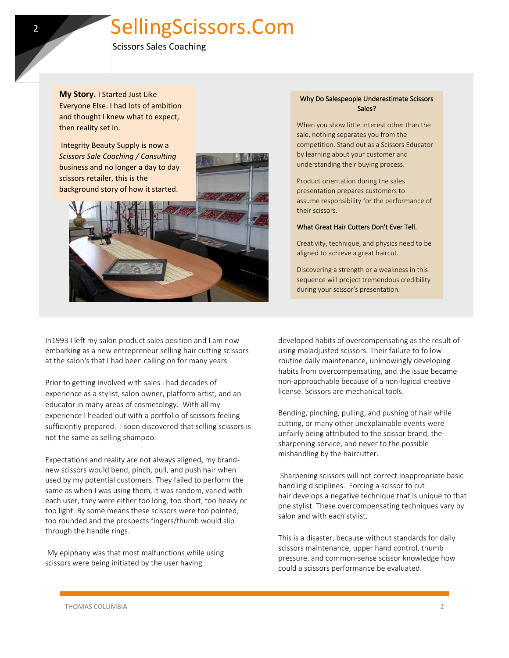Scissors Sales Coaching

**My Story.** I Started Just Like Everyone Else. I had lots of ambition and thought I knew what to expect, then reality set in.

Integrity Beauty Supply is now a *Scissors Sale Coaching / Consulting* business and no longer a day to day scissors retailer, this is the background story of how it started.



### Why Do Salespeople Underestimate Scissors Sales?

When you show little interest other than the sale, nothing separates you from the competition. Stand out as a Scissors Educator by learning about your customer and understanding their buying process.

Product orientation during the sales presentation prepares customers to assume responsibility for the performance of their scissors.

### What Great Hair Cutters Don't Ever Tell.

Creativity, technique, and physics need to be aligned to achieve a great haircut.

Discovering a strength or a weakness in this sequence will project tremendous credibility during your scissor's presentation.

In1993 I left my salon product sales position and I am now embarking as a new entrepreneur selling hair cutting scissors at the salon's that I had been calling on for many years.

Prior to getting involved with sales I had decades of experience as a stylist, salon owner, platform artist, and an educator in many areas of cosmetology. With all my experience I headed out with a portfolio of scissors feeling sufficiently prepared. I soon discovered that selling scissors is not the same as selling shampoo.

Expectations and reality are not always aligned, my brandnew scissors would bend, pinch, pull, and push hair when used by my potential customers. They failed to perform the same as when I was using them, it was random, varied with each user, they were either too long, too short, too heavy or too light. By some means these scissors were too pointed, too rounded and the prospects fingers/thumb would slip through the handle rings.

My epiphany was that most malfunctions while using scissors were being initiated by the user having

developed habits of overcompensating as the result of using maladjusted scissors. Their failure to follow routine daily maintenance, unknowingly developing habits from overcompensating, and the issue became non-approachable because of a non-logical creative license. Scissors are mechanical tools.

Bending, pinching, pulling, and pushing of hair while cutting, or many other unexplainable events were unfairly being attributed to the scissor brand, the sharpening service, and never to the possible mishandling by the haircutter.

Sharpening scissors will not correct inappropriate basic handling disciplines. Forcing a scissor to cut hair develops a negative technique that is unique to that one stylist. These overcompensating techniques vary by salon and with each stylist.

This is a disaster, because without standards for daily scissors maintenance, upper hand control, thumb pressure, and common-sense scissor knowledge how could a scissors performance be evaluated.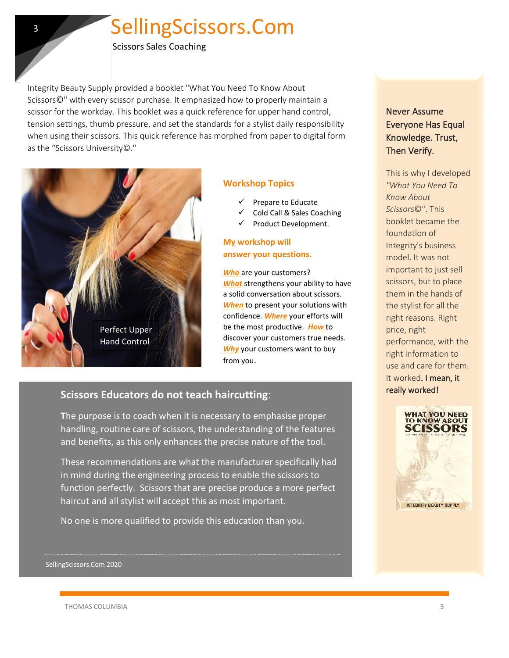Scissors Sales Coaching

Integrity Beauty Supply provided a booklet "What You Need To Know About Scissors©" with every scissor purchase. It emphasized how to properly maintain a scissor for the workday. This booklet was a quick reference for upper hand control, tension settings, thumb pressure, and set the standards for a stylist daily responsibility when using their scissors. This quick reference has morphed from paper to digital form as the "Scissors University©."



3

### **Workshop Topics**

- Prepare to Educate
- ✓ Cold Call & Sales Coaching
- Product Development.

## **My workshop will answer your questions.**

*Who* are your customers? *What* strengthens your ability to have a solid conversation about scissors*. When* to present your solutions with confidence. *Where* your efforts will be the most productive. *How* to discover your customers true needs. *Why* your customers want to buy from you.

## **Scissors Educators do not teach haircutting**:

**T**he purpose is to coach when it is necessary to emphasise proper handling, routine care of scissors, the understanding of the features and benefits, as this only enhances the precise nature of the tool.

These recommendations are what the manufacturer specifically had in mind during the engineering process to enable the scissors to function perfectly. Scissors that are precise produce a more perfect haircut and all stylist will accept this as most important.

No one is more qualified to provide this education than you.

## Never Assume Everyone Has Equal Knowledge. Trust, Then Verify.

This is why I developed *"What You Need To Know About Scissors*©". This booklet became the foundation of Integrity's business model. It was not important to just sell scissors, but to place them in the hands of the stylist for all the right reasons. Right price, right performance, with the right information to use and care for them. It worked. I mean, it really worked!



SellingScissors.Com 2020

THOMAS COLUMBIA 3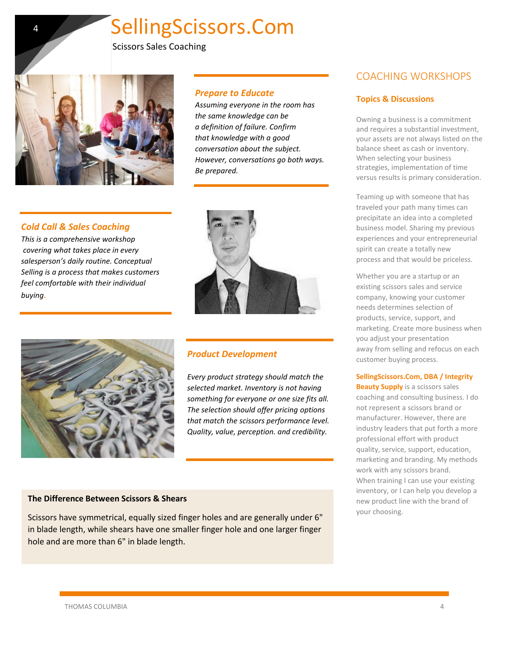*Prepare to Educate*

*Be prepared.*

*the same knowledge can be a definition of failure. Confirm that knowledge with a good conversation about the subject. However, conversations go both ways.* 

*Assuming everyone in the room has* 

Scissors Sales Coaching

4

### *Cold Call & Sales Coaching*

*This is a comprehensive workshop covering what takes place in every salesperson's daily routine. Conceptual Selling is a process that makes customers feel comfortable with their individual buying.*



## *Product Development*

*Every product strategy should match the selected market. Inventory is not having something for everyone or one size fits all. The selection should offer pricing options that match the scissors performance level. Quality, value, perception. and credibility.*

### **The Difference Between Scissors & Shears**

Scissors have symmetrical, equally sized finger holes and are generally under 6" in blade length, while shears have one smaller finger hole and one larger finger hole and are more than 6" in blade length.

# COACHING WORKSHOPS

### **Topics & Discussions**

Owning a business is a commitment and requires a substantial investment, your assets are not always listed on the balance sheet as cash or inventory. When selecting your business strategies, implementation of time versus results is primary consideration.

Teaming up with someone that has traveled your path many times can precipitate an idea into a completed business model. Sharing my previous experiences and your entrepreneurial spirit can create a totally new process and that would be priceless.

Whether you are a startup or an existing scissors sales and service company, knowing your customer needs determines selection of products, service, support, and marketing. Create more business when you adjust your presentation away from selling and refocus on each customer buying process.

### **SellingScissors.Com, DBA / Integrity**

**Beauty Supply** is a scissors sales coaching and consulting business. I do not represent a scissors brand or manufacturer. However, there are industry leaders that put forth a more professional effort with product quality, service, support, education, marketing and branding. My methods work with any scissors brand. When training I can use your existing inventory, or I can help you develop a new product line with the brand of your choosing.